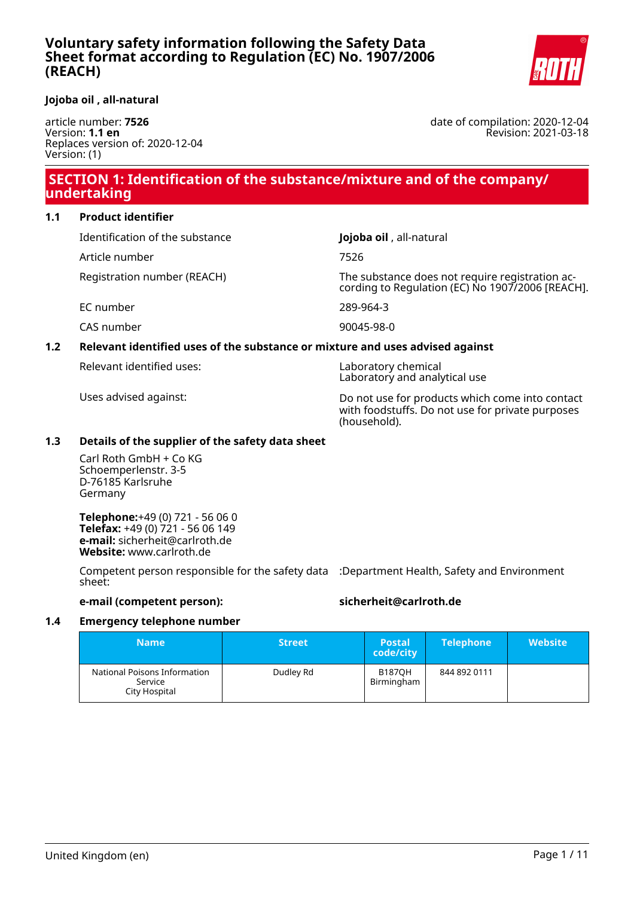

#### **Jojoba oil , all-natural**

article number: **7526** Version: **1.1 en** Replaces version of: 2020-12-04 Version: (1)

date of compilation: 2020-12-04 Revision: 2021-03-18

# **SECTION 1: Identification of the substance/mixture and of the company/ undertaking**

### **1.1 Product identifier**

Identification of the substance **Jojoba oil** , all-natural

Article number 7526

Registration number (REACH) The substance does not require registration according to Regulation (EC) No 1907/2006 [REACH].

EC number 289-964-3

CAS number 90045-98-0

# **1.2 Relevant identified uses of the substance or mixture and uses advised against**

Relevant identified uses: Laboratory chemical

Laboratory and analytical use

Uses advised against: Do not use for products which come into contact with foodstuffs. Do not use for private purposes (household).

### **1.3 Details of the supplier of the safety data sheet**

Carl Roth GmbH + Co KG Schoemperlenstr. 3-5 D-76185 Karlsruhe Germany

**Telephone:**+49 (0) 721 - 56 06 0 **Telefax:** +49 (0) 721 - 56 06 149 **e-mail:** sicherheit@carlroth.de **Website:** www.carlroth.de

Competent person responsible for the safety data :Department Health, Safety and Environment sheet:

### **e-mail (competent person): sicherheit@carlroth.de**

#### **1.4 Emergency telephone number**

| <b>Name</b>                                              | <b>Street</b> | <b>Postal</b><br>code/city  | <b>Telephone</b> | <b>Website</b> |
|----------------------------------------------------------|---------------|-----------------------------|------------------|----------------|
| National Poisons Information<br>Service<br>City Hospital | Dudley Rd     | <b>B187OH</b><br>Birmingham | 844 892 0111     |                |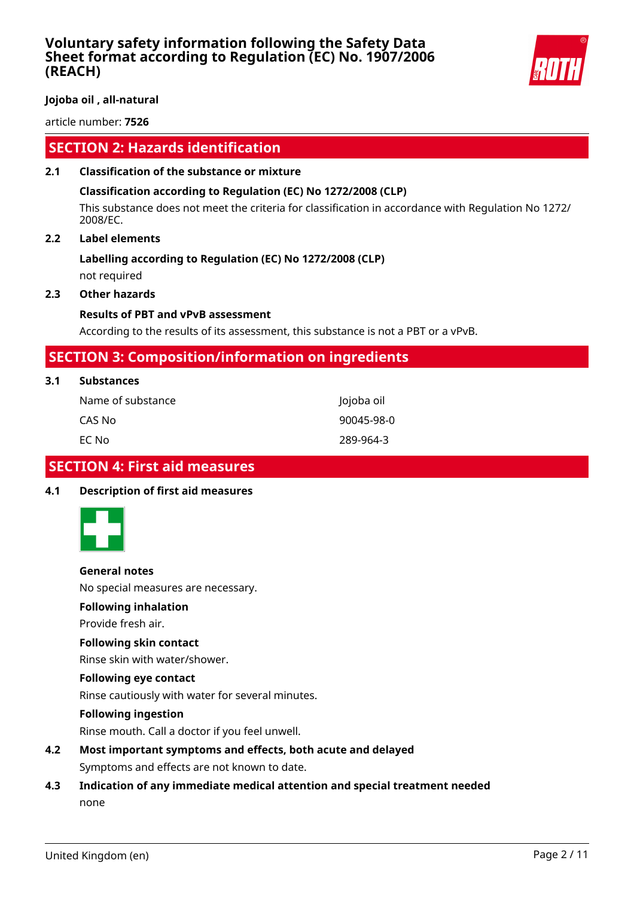

**Jojoba oil , all-natural**

article number: **7526**

# **SECTION 2: Hazards identification**

### **2.1 Classification of the substance or mixture**

### **Classification according to Regulation (EC) No 1272/2008 (CLP)**

This substance does not meet the criteria for classification in accordance with Regulation No 1272/ 2008/EC.

### **2.2 Label elements**

# **Labelling according to Regulation (EC) No 1272/2008 (CLP)**

not required

# **2.3 Other hazards**

### **Results of PBT and vPvB assessment**

According to the results of its assessment, this substance is not a PBT or a vPvB.

# **SECTION 3: Composition/information on ingredients**

| 3.1<br><b>Substances</b> |  |
|--------------------------|--|
|--------------------------|--|

| Name of substance l | Jojoba oil |
|---------------------|------------|
| CAS No              | 90045-98-0 |
| EC No               | 289-964-3  |

# **SECTION 4: First aid measures**

#### **4.1 Description of first aid measures**



#### **General notes**

No special measures are necessary.

#### **Following inhalation**

Provide fresh air.

#### **Following skin contact**

Rinse skin with water/shower.

#### **Following eye contact**

Rinse cautiously with water for several minutes.

#### **Following ingestion**

Rinse mouth. Call a doctor if you feel unwell.

- **4.2 Most important symptoms and effects, both acute and delayed** Symptoms and effects are not known to date.
- **4.3 Indication of any immediate medical attention and special treatment needed** none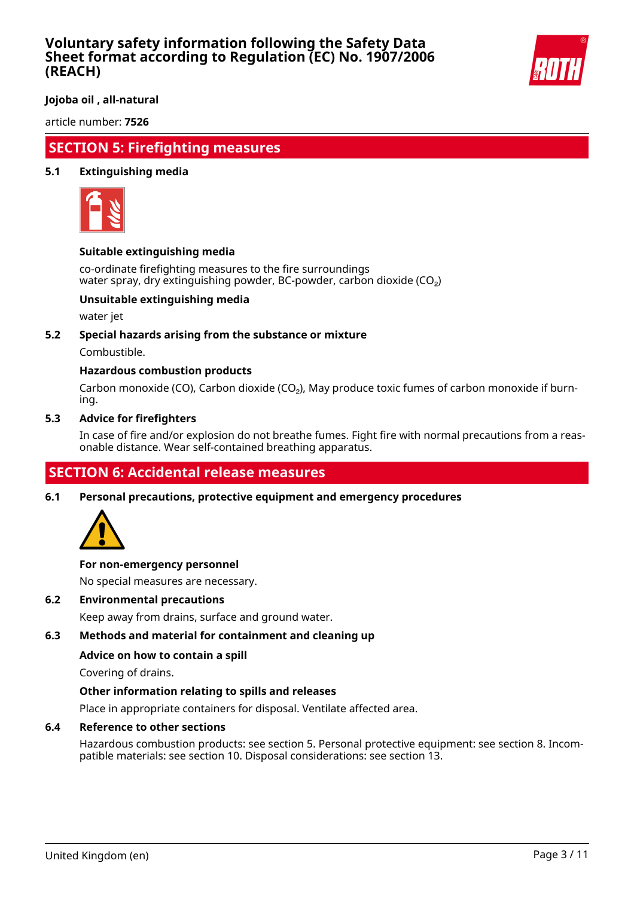

**Jojoba oil , all-natural**

article number: **7526**

# **SECTION 5: Firefighting measures**

### **5.1 Extinguishing media**



#### **Suitable extinguishing media**

co-ordinate firefighting measures to the fire surroundings water spray, dry extinguishing powder, BC-powder, carbon dioxide (CO<sub>2</sub>)

### **Unsuitable extinguishing media**

water jet

#### **5.2 Special hazards arising from the substance or mixture**

Combustible.

# **Hazardous combustion products**

Carbon monoxide (CO), Carbon dioxide (CO₂), May produce toxic fumes of carbon monoxide if burning.

#### **5.3 Advice for firefighters**

In case of fire and/or explosion do not breathe fumes. Fight fire with normal precautions from a reasonable distance. Wear self-contained breathing apparatus.

# **SECTION 6: Accidental release measures**

**6.1 Personal precautions, protective equipment and emergency procedures**



#### **For non-emergency personnel**

No special measures are necessary.

#### **6.2 Environmental precautions**

Keep away from drains, surface and ground water.

### **6.3 Methods and material for containment and cleaning up**

#### **Advice on how to contain a spill**

Covering of drains.

#### **Other information relating to spills and releases**

Place in appropriate containers for disposal. Ventilate affected area.

#### **6.4 Reference to other sections**

Hazardous combustion products: see section 5. Personal protective equipment: see section 8. Incompatible materials: see section 10. Disposal considerations: see section 13.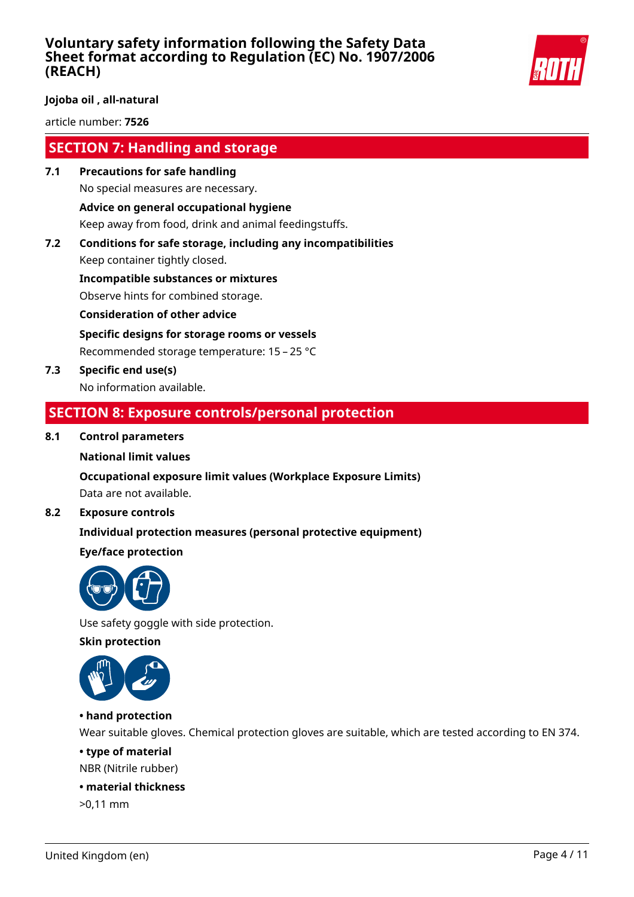

### **Jojoba oil , all-natural**

article number: **7526**

# **SECTION 7: Handling and storage**

- **7.1 Precautions for safe handling** No special measures are necessary. **Advice on general occupational hygiene** Keep away from food, drink and animal feedingstuffs.
- **7.2 Conditions for safe storage, including any incompatibilities** Keep container tightly closed.

**Incompatible substances or mixtures** Observe hints for combined storage.

**Consideration of other advice**

**Specific designs for storage rooms or vessels**

Recommended storage temperature: 15 – 25 °C

**7.3 Specific end use(s)** No information available.

# **SECTION 8: Exposure controls/personal protection**

### **8.1 Control parameters**

**National limit values**

**Occupational exposure limit values (Workplace Exposure Limits)**

Data are not available.

### **8.2 Exposure controls**

# **Individual protection measures (personal protective equipment)**

# **Eye/face protection**



Use safety goggle with side protection.

**Skin protection**



# **• hand protection**

Wear suitable gloves. Chemical protection gloves are suitable, which are tested according to EN 374.

### **• type of material**

NBR (Nitrile rubber)

### **• material thickness**

>0,11 mm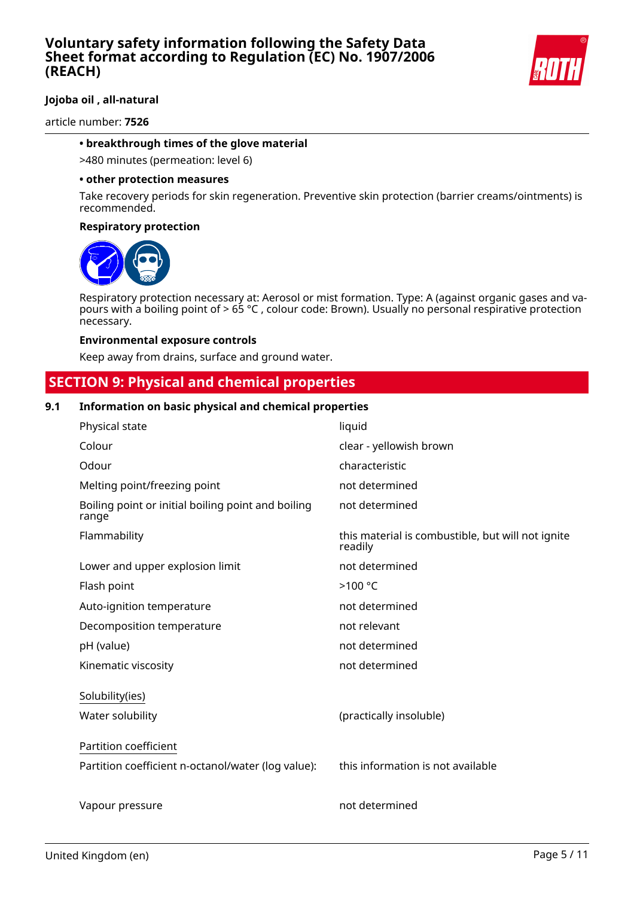

# **Jojoba oil , all-natural**

article number: **7526**

### **• breakthrough times of the glove material**

>480 minutes (permeation: level 6)

#### **• other protection measures**

Take recovery periods for skin regeneration. Preventive skin protection (barrier creams/ointments) is recommended.

#### **Respiratory protection**



Respiratory protection necessary at: Aerosol or mist formation. Type: A (against organic gases and vapours with a boiling point of > 65 °C , colour code: Brown). Usually no personal respirative protection necessary.

#### **Environmental exposure controls**

Keep away from drains, surface and ground water.

# **SECTION 9: Physical and chemical properties**

### **9.1 Information on basic physical and chemical properties**

| Physical state                                              | liquid                                                       |
|-------------------------------------------------------------|--------------------------------------------------------------|
| Colour                                                      | clear - yellowish brown                                      |
| Odour                                                       | characteristic                                               |
| Melting point/freezing point                                | not determined                                               |
| Boiling point or initial boiling point and boiling<br>range | not determined                                               |
| Flammability                                                | this material is combustible, but will not ignite<br>readily |
| Lower and upper explosion limit                             | not determined                                               |
| Flash point                                                 | >100 °C                                                      |
| Auto-ignition temperature                                   | not determined                                               |
| Decomposition temperature                                   | not relevant                                                 |
| pH (value)                                                  | not determined                                               |
| Kinematic viscosity                                         | not determined                                               |
| Solubility(ies)                                             |                                                              |
| Water solubility                                            | (practically insoluble)                                      |
| Partition coefficient                                       |                                                              |
| Partition coefficient n-octanol/water (log value):          | this information is not available                            |
|                                                             |                                                              |
| Vapour pressure                                             | not determined                                               |
|                                                             |                                                              |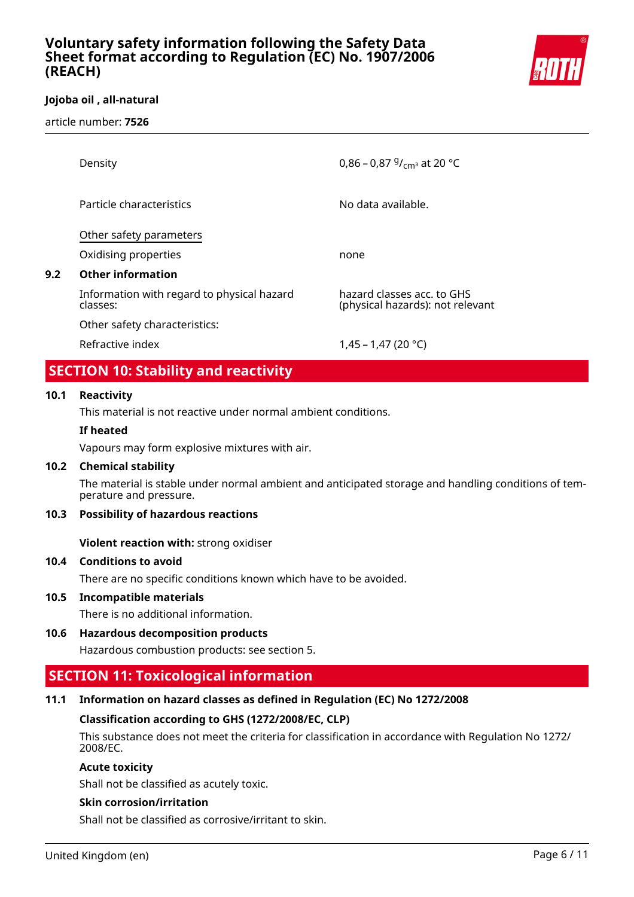

# **Jojoba oil , all-natural**

article number: **7526**

| Density                                                | 0,86 – 0,87 $9/$ <sub>cm</sub> at 20 °C                        |
|--------------------------------------------------------|----------------------------------------------------------------|
| Particle characteristics                               | No data available.                                             |
| Other safety parameters                                |                                                                |
| Oxidising properties                                   | none                                                           |
| <b>Other information</b>                               |                                                                |
| Information with regard to physical hazard<br>classes: | hazard classes acc. to GHS<br>(physical hazards): not relevant |
| Other safety characteristics:                          |                                                                |
| Refractive index                                       | $1.45 - 1.47$ (20 °C)                                          |

# **SECTION 10: Stability and reactivity**

### **10.1 Reactivity**

**9.2 Other information**

This material is not reactive under normal ambient conditions.

#### **If heated**

Vapours may form explosive mixtures with air.

#### **10.2 Chemical stability**

The material is stable under normal ambient and anticipated storage and handling conditions of temperature and pressure.

#### **10.3 Possibility of hazardous reactions**

**Violent reaction with:** strong oxidiser

# **10.4 Conditions to avoid**

There are no specific conditions known which have to be avoided.

# **10.5 Incompatible materials**

There is no additional information.

# **10.6 Hazardous decomposition products**

Hazardous combustion products: see section 5.

# **SECTION 11: Toxicological information**

#### **11.1 Information on hazard classes as defined in Regulation (EC) No 1272/2008**

#### **Classification according to GHS (1272/2008/EC, CLP)**

This substance does not meet the criteria for classification in accordance with Regulation No 1272/ 2008/EC.

#### **Acute toxicity**

Shall not be classified as acutely toxic.

#### **Skin corrosion/irritation**

Shall not be classified as corrosive/irritant to skin.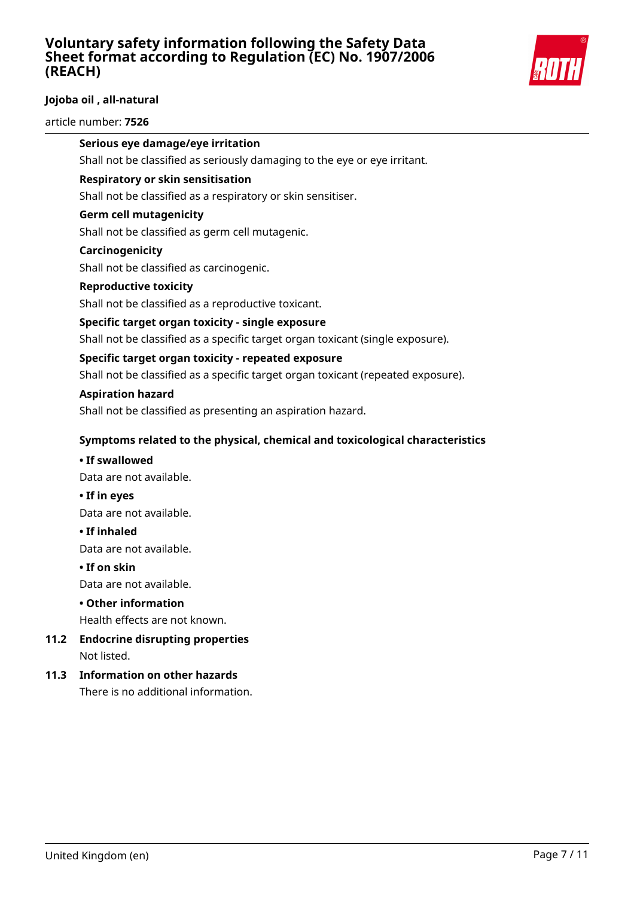

# **Jojoba oil , all-natural**

#### article number: **7526**

### **Serious eye damage/eye irritation**

Shall not be classified as seriously damaging to the eye or eye irritant.

### **Respiratory or skin sensitisation**

Shall not be classified as a respiratory or skin sensitiser.

### **Germ cell mutagenicity**

Shall not be classified as germ cell mutagenic.

#### **Carcinogenicity**

Shall not be classified as carcinogenic.

### **Reproductive toxicity**

Shall not be classified as a reproductive toxicant.

### **Specific target organ toxicity - single exposure**

Shall not be classified as a specific target organ toxicant (single exposure).

### **Specific target organ toxicity - repeated exposure**

Shall not be classified as a specific target organ toxicant (repeated exposure).

#### **Aspiration hazard**

Shall not be classified as presenting an aspiration hazard.

### **Symptoms related to the physical, chemical and toxicological characteristics**

#### **• If swallowed**

Data are not available.

**• If in eyes**

Data are not available.

#### **• If inhaled**

Data are not available.

#### **• If on skin**

Data are not available.

#### **• Other information**

Health effects are not known.

# **11.2 Endocrine disrupting properties** Not listed.

# **11.3 Information on other hazards**

There is no additional information.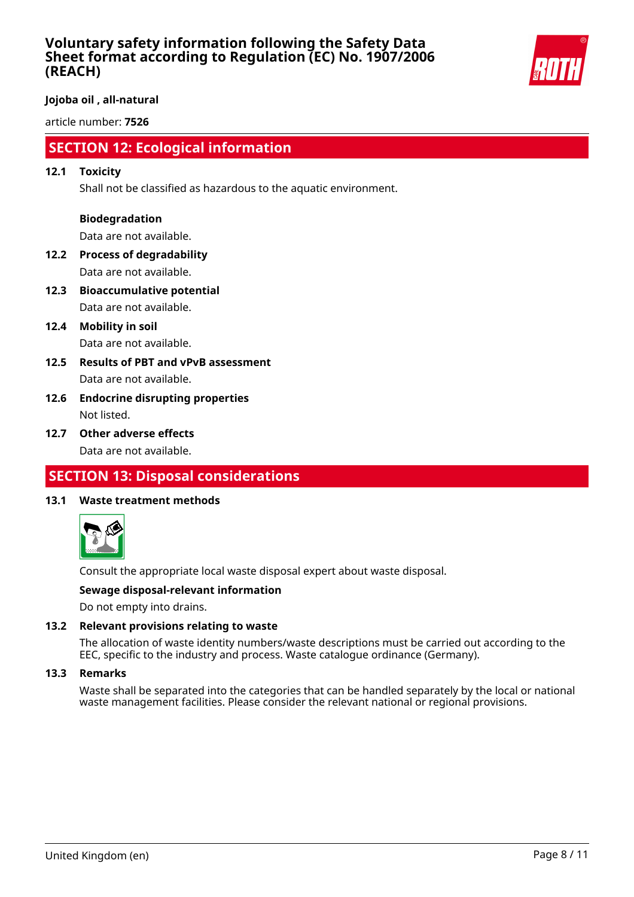

**Jojoba oil , all-natural**

article number: **7526**

# **SECTION 12: Ecological information**

### **12.1 Toxicity**

Shall not be classified as hazardous to the aquatic environment.

### **Biodegradation**

Data are not available.

- **12.2 Process of degradability** Data are not available.
- **12.3 Bioaccumulative potential** Data are not available.
- **12.4 Mobility in soil** Data are not available.
- **12.5 Results of PBT and vPvB assessment** Data are not available.
- **12.6 Endocrine disrupting properties** Not listed.
- **12.7 Other adverse effects** Data are not available.

# **SECTION 13: Disposal considerations**

# **13.1 Waste treatment methods**



Consult the appropriate local waste disposal expert about waste disposal.

### **Sewage disposal-relevant information**

Do not empty into drains.

#### **13.2 Relevant provisions relating to waste**

The allocation of waste identity numbers/waste descriptions must be carried out according to the EEC, specific to the industry and process. Waste catalogue ordinance (Germany).

#### **13.3 Remarks**

Waste shall be separated into the categories that can be handled separately by the local or national waste management facilities. Please consider the relevant national or regional provisions.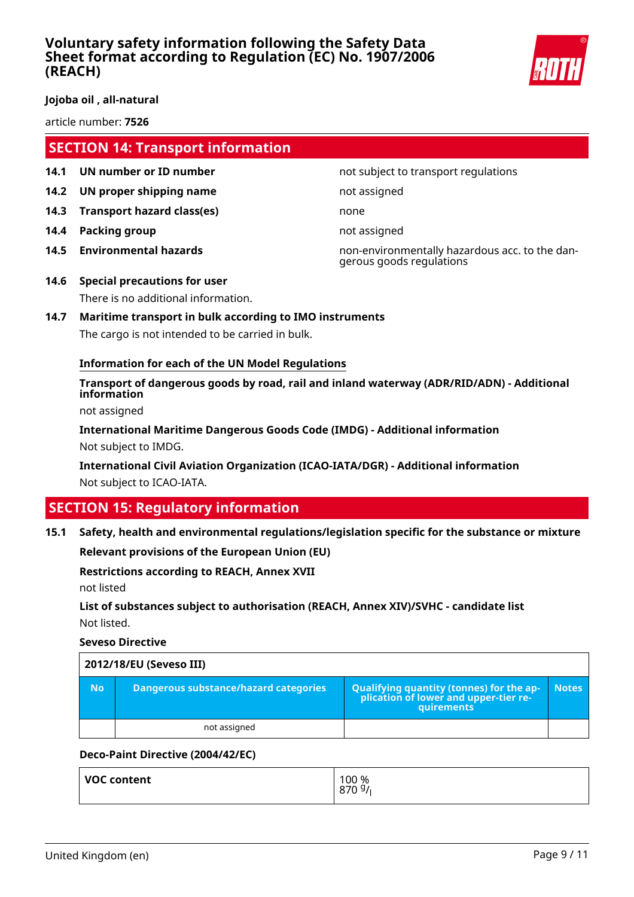

**Jojoba oil , all-natural**

article number: **7526**

# **SECTION 14: Transport information**

- **14.1 UN number or ID number not subject to transport regulations**
- **14.2 UN proper shipping name** not assigned
- **14.3 Transport hazard class(es)** none
- **14.4 Packing group not assigned**
- 

**14.5 Environmental hazards** non-environmentally hazardous acc. to the dangerous goods regulations

- **14.6 Special precautions for user** There is no additional information.
- **14.7 Maritime transport in bulk according to IMO instruments** The cargo is not intended to be carried in bulk.

# **Information for each of the UN Model Regulations**

**Transport of dangerous goods by road, rail and inland waterway (ADR/RID/ADN) - Additional information**

not assigned

**International Maritime Dangerous Goods Code (IMDG) - Additional information** Not subject to IMDG.

**International Civil Aviation Organization (ICAO-IATA/DGR) - Additional information** Not subject to ICAO-IATA.

# **SECTION 15: Regulatory information**

**15.1 Safety, health and environmental regulations/legislation specific for the substance or mixture**

**Relevant provisions of the European Union (EU)**

#### **Restrictions according to REACH, Annex XVII**

not listed

**List of substances subject to authorisation (REACH, Annex XIV)/SVHC - candidate list** Not listed.

**Seveso Directive**

| 2012/18/EU (Seveso III) |                                       |                                                                                            |              |
|-------------------------|---------------------------------------|--------------------------------------------------------------------------------------------|--------------|
| No.                     | Dangerous substance/hazard categories | Qualifying quantity (tonnes) for the application of lower and upper-tier re-<br>quirements | <b>Notes</b> |
|                         | not assigned                          |                                                                                            |              |

# **Deco-Paint Directive (2004/42/EC)**

| VOC content | 100 %<br>8709/ |
|-------------|----------------|
|-------------|----------------|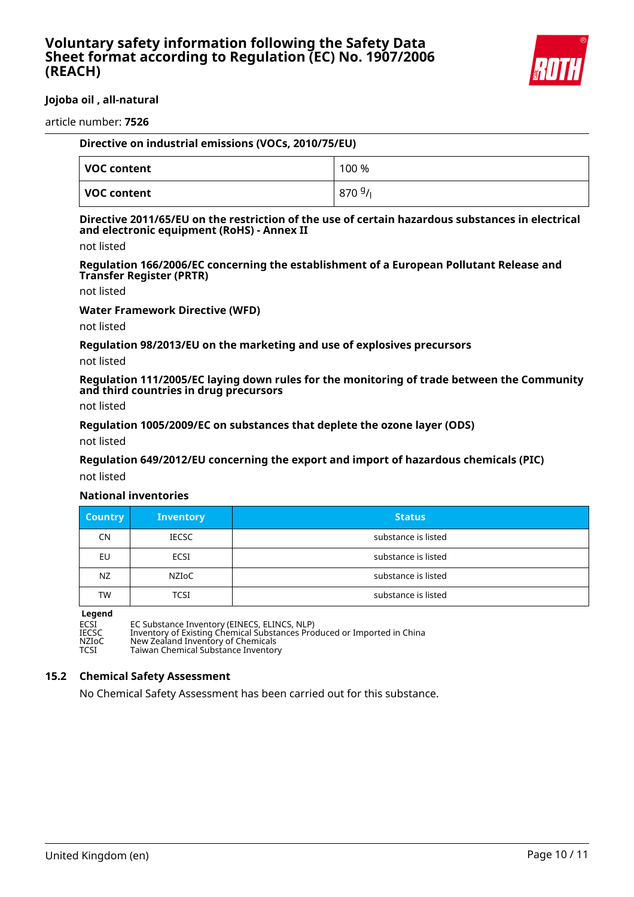

### **Jojoba oil , all-natural**

article number: **7526**

| Directive on industrial emissions (VOCs, 2010/75/EU) |       |  |
|------------------------------------------------------|-------|--|
| VOC content                                          | 100 % |  |
| VOC content                                          | 8709/ |  |

#### **Directive 2011/65/EU on the restriction of the use of certain hazardous substances in electrical and electronic equipment (RoHS) - Annex II**

not listed

**Regulation 166/2006/EC concerning the establishment of a European Pollutant Release and Transfer Register (PRTR)**

not listed

**Water Framework Directive (WFD)**

not listed

**Regulation 98/2013/EU on the marketing and use of explosives precursors**

not listed

**Regulation 111/2005/EC laying down rules for the monitoring of trade between the Community and third countries in drug precursors**

not listed

**Regulation 1005/2009/EC on substances that deplete the ozone layer (ODS)**

not listed

**Regulation 649/2012/EU concerning the export and import of hazardous chemicals (PIC)**

not listed

#### **National inventories**

| <b>Country</b> | <b>Inventory</b> | <b>Status</b>       |
|----------------|------------------|---------------------|
| CN.            | <b>IECSC</b>     | substance is listed |
| EU             | <b>ECSI</b>      | substance is listed |
| NZ             | NZIoC            | substance is listed |
| TW             | <b>TCSI</b>      | substance is listed |

**Legend**<br>ECSI<br>IECSC

ECSI EC Substance Inventory (EINECS, ELINCS, NLP)

IECSC Inventory of Existing Chemical Substances Produced or Imported in China

NZIOC New Zealand Inventory of Chemicals<br>TCSI Taiwan Chemical Substance Inventor

Taiwan Chemical Substance Inventory

#### **15.2 Chemical Safety Assessment**

No Chemical Safety Assessment has been carried out for this substance.